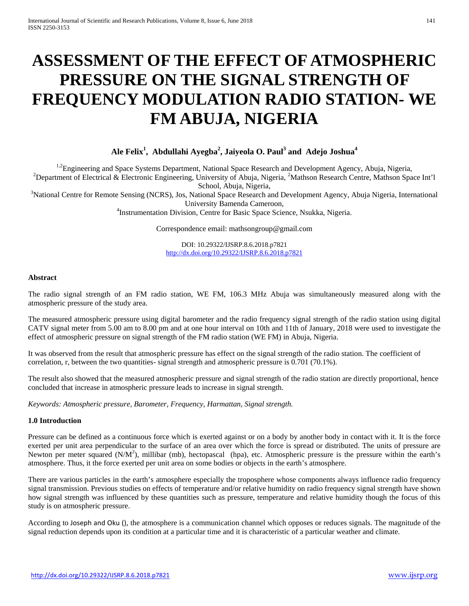# **ASSESSMENT OF THE EFFECT OF ATMOSPHERIC PRESSURE ON THE SIGNAL STRENGTH OF FREQUENCY MODULATION RADIO STATION- WE FM ABUJA, NIGERIA**

## **Ale Felix<sup>1</sup> , Abdullahi Ayegba<sup>2</sup> , Jaiyeola O. Paul3 and Adejo Joshua<sup>4</sup>**

<sup>1,2</sup>Engineering and Space Systems Department, National Space Research and Development Agency, Abuja, Nigeria,

Department of Electrical & Electronic Engineering, University of Abuja, Nigeria, <sup>2</sup>Mathson Research Centre, Mathson Space Int'l

School, Abuja, Nigeria,<br><sup>3</sup>National Centre for Remote Sensing (NCRS), Jos, National Space Research and Development Agency, Abuja Nigeria, International

University Bamenda Cameroon, <sup>4</sup> Instrumentation Division, Centre for Basic Space Science, Nsukka, Nigeria.

Correspondence email: mathsongroup@gmail.com

DOI: 10.29322/IJSRP.8.6.2018.p7821 <http://dx.doi.org/10.29322/IJSRP.8.6.2018.p7821>

#### **Abstract**

The radio signal strength of an FM radio station, WE FM, 106.3 MHz Abuja was simultaneously measured along with the atmospheric pressure of the study area.

The measured atmospheric pressure using digital barometer and the radio frequency signal strength of the radio station using digital CATV signal meter from 5.00 am to 8.00 pm and at one hour interval on 10th and 11th of January, 2018 were used to investigate the effect of atmospheric pressure on signal strength of the FM radio station (WE FM) in Abuja, Nigeria.

It was observed from the result that atmospheric pressure has effect on the signal strength of the radio station. The coefficient of correlation, r, between the two quantities- signal strength and atmospheric pressure is 0.701 (70.1%).

The result also showed that the measured atmospheric pressure and signal strength of the radio station are directly proportional, hence concluded that increase in atmospheric pressure leads to increase in signal strength.

*Keywords: Atmospheric pressure, Barometer, Frequency, Harmattan, Signal strength.*

#### **1.0 Introduction**

Pressure can be defined as a continuous force which is exerted against or on a body by another body in contact with it. It is the force exerted per unit area perpendicular to the surface of an area over which the force is spread or distributed. The units of pressure are Newton per meter squared  $(N/M^2)$ , millibar (mb), hectopascal (hpa), etc. Atmospheric pressure is the pressure within the earth's atmosphere. Thus, it the force exerted per unit area on some bodies or objects in the earth's atmosphere.

There are various particles in the earth's atmosphere especially the troposphere whose components always influence radio frequency signal transmission. Previous studies on effects of temperature and/or relative humidity on radio frequency signal strength have shown how signal strength was influenced by these quantities such as pressure, temperature and relative humidity though the focus of this study is on atmospheric pressure.

According to Joseph and Oku (), the atmosphere is a communication channel which opposes or reduces signals. The magnitude of the signal reduction depends upon its condition at a particular time and it is characteristic of a particular weather and climate.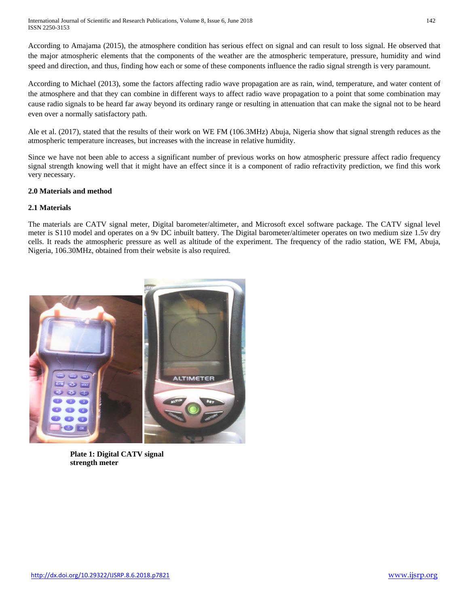According to Amajama (2015), the atmosphere condition has serious effect on signal and can result to loss signal. He observed that the major atmospheric elements that the components of the weather are the atmospheric temperature, pressure, humidity and wind speed and direction, and thus, finding how each or some of these components influence the radio signal strength is very paramount.

According to Michael (2013), some the factors affecting radio wave propagation are as rain, wind, temperature, and water content of the atmosphere and that they can combine in different ways to affect radio wave propagation to a point that some combination may cause radio signals to be heard far away beyond its ordinary range or resulting in attenuation that can make the signal not to be heard even over a normally satisfactory path.

Ale et al. (2017), stated that the results of their work on WE FM (106.3MHz) Abuja, Nigeria show that signal strength reduces as the atmospheric temperature increases, but increases with the increase in relative humidity.

Since we have not been able to access a significant number of previous works on how atmospheric pressure affect radio frequency signal strength knowing well that it might have an effect since it is a component of radio refractivity prediction, we find this work very necessary.

### **2.0 Materials and method**

### **2.1 Materials**

The materials are CATV signal meter, Digital barometer/altimeter, and Microsoft excel software package. The CATV signal level meter is S110 model and operates on a 9v DC inbuilt battery. The Digital barometer/altimeter operates on two medium size 1.5v dry cells. It reads the atmospheric pressure as well as altitude of the experiment. The frequency of the radio station, WE FM, Abuja, Nigeria, 106.30MHz, obtained from their website is also required.



**Plate 1: Digital CATV signal strength meter**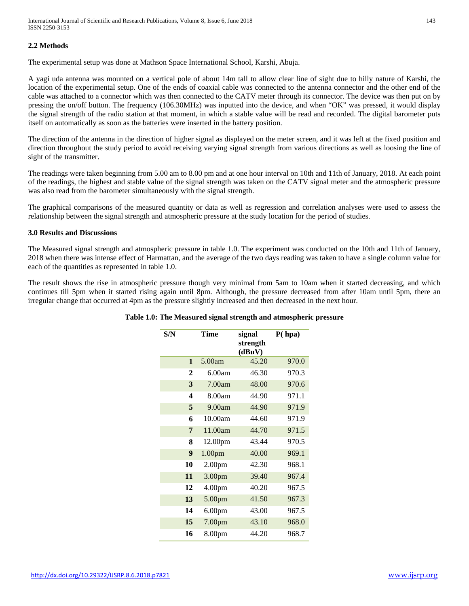#### **2.2 Methods**

The experimental setup was done at Mathson Space International School, Karshi, Abuja.

A yagi uda antenna was mounted on a vertical pole of about 14m tall to allow clear line of sight due to hilly nature of Karshi, the location of the experimental setup. One of the ends of coaxial cable was connected to the antenna connector and the other end of the cable was attached to a connector which was then connected to the CATV meter through its connector. The device was then put on by pressing the on/off button. The frequency (106.30MHz) was inputted into the device, and when "OK" was pressed, it would display the signal strength of the radio station at that moment, in which a stable value will be read and recorded. The digital barometer puts itself on automatically as soon as the batteries were inserted in the battery position.

The direction of the antenna in the direction of higher signal as displayed on the meter screen, and it was left at the fixed position and direction throughout the study period to avoid receiving varying signal strength from various directions as well as loosing the line of sight of the transmitter.

The readings were taken beginning from 5.00 am to 8.00 pm and at one hour interval on 10th and 11th of January, 2018. At each point of the readings, the highest and stable value of the signal strength was taken on the CATV signal meter and the atmospheric pressure was also read from the barometer simultaneously with the signal strength.

The graphical comparisons of the measured quantity or data as well as regression and correlation analyses were used to assess the relationship between the signal strength and atmospheric pressure at the study location for the period of studies.

#### **3.0 Results and Discussions**

The Measured signal strength and atmospheric pressure in table 1.0. The experiment was conducted on the 10th and 11th of January, 2018 when there was intense effect of Harmattan, and the average of the two days reading was taken to have a single column value for each of the quantities as represented in table 1.0.

The result shows the rise in atmospheric pressure though very minimal from 5am to 10am when it started decreasing, and which continues till 5pm when it started rising again until 8pm. Although, the pressure decreased from after 10am until 5pm, there an irregular change that occurred at 4pm as the pressure slightly increased and then decreased in the next hour.

| S/N<br>Time<br>P(hpa)<br>signal<br>strength<br>(dBuV)<br>45.20<br>5.00am<br>$\mathbf{1}$<br>46.30<br>6.00am<br>$\mathbf{2}$<br>7.00am<br>48.00<br>3<br>8.00am<br>44.90<br>4<br>44.90<br>5<br>9.00am<br>10.00am<br>44.60<br>6<br>44.70<br>11.00am<br>7<br>8<br>12.00pm<br>43.44 |       |
|--------------------------------------------------------------------------------------------------------------------------------------------------------------------------------------------------------------------------------------------------------------------------------|-------|
|                                                                                                                                                                                                                                                                                |       |
|                                                                                                                                                                                                                                                                                | 970.0 |
|                                                                                                                                                                                                                                                                                | 970.3 |
|                                                                                                                                                                                                                                                                                | 970.6 |
|                                                                                                                                                                                                                                                                                | 971.1 |
|                                                                                                                                                                                                                                                                                | 971.9 |
|                                                                                                                                                                                                                                                                                | 971.9 |
|                                                                                                                                                                                                                                                                                | 971.5 |
|                                                                                                                                                                                                                                                                                | 970.5 |
| 9<br>40.00<br>1.00pm                                                                                                                                                                                                                                                           | 969.1 |
| 10<br>42.30<br>2.00 <sub>pm</sub>                                                                                                                                                                                                                                              | 968.1 |
| 3.00pm<br>39.40<br>11                                                                                                                                                                                                                                                          | 967.4 |
| 40.20<br>12<br>4.00 <sub>pm</sub>                                                                                                                                                                                                                                              | 967.5 |
| 41.50<br>13<br>5.00pm                                                                                                                                                                                                                                                          | 967.3 |
| 14<br>6.00 <sub>pm</sub><br>43.00                                                                                                                                                                                                                                              | 967.5 |
| 43.10<br>15<br>7.00 <sub>pm</sub>                                                                                                                                                                                                                                              | 968.0 |
| 16<br>8.00pm<br>44.20                                                                                                                                                                                                                                                          | 968.7 |

#### **Table 1.0: The Measured signal strength and atmospheric pressure**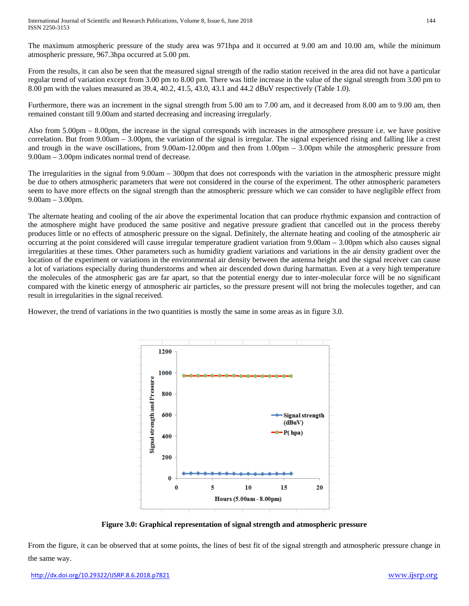The maximum atmospheric pressure of the study area was 971hpa and it occurred at 9.00 am and 10.00 am, while the minimum atmospheric pressure, 967.3hpa occurred at 5.00 pm.

From the results, it can also be seen that the measured signal strength of the radio station received in the area did not have a particular regular trend of variation except from 3.00 pm to 8.00 pm. There was little increase in the value of the signal strength from 3.00 pm to 8.00 pm with the values measured as 39.4, 40.2, 41.5, 43.0, 43.1 and 44.2 dBuV respectively (Table 1.0).

Furthermore, there was an increment in the signal strength from 5.00 am to 7.00 am, and it decreased from 8.00 am to 9.00 am, then remained constant till 9.00am and started decreasing and increasing irregularly.

Also from 5.00pm – 8.00pm, the increase in the signal corresponds with increases in the atmosphere pressure i.e. we have positive correlation. But from 9.00am – 3.00pm, the variation of the signal is irregular. The signal experienced rising and falling like a crest and trough in the wave oscillations, from 9.00am-12.00pm and then from 1.00pm – 3.00pm while the atmospheric pressure from 9.00am – 3.00pm indicates normal trend of decrease.

The irregularities in the signal from 9.00am – 300pm that does not corresponds with the variation in the atmospheric pressure might be due to others atmospheric parameters that were not considered in the course of the experiment. The other atmospheric parameters seem to have more effects on the signal strength than the atmospheric pressure which we can consider to have negligible effect from 9.00am – 3.00pm.

The alternate heating and cooling of the air above the experimental location that can produce rhythmic expansion and contraction of the atmosphere might have produced the same positive and negative pressure gradient that cancelled out in the process thereby produces little or no effects of atmospheric pressure on the signal. Definitely, the alternate heating and cooling of the atmospheric air occurring at the point considered will cause irregular temperature gradient variation from 9.00am – 3.00pm which also causes signal irregularities at these times. Other parameters such as humidity gradient variations and variations in the air density gradient over the location of the experiment or variations in the environmental air density between the antenna height and the signal receiver can cause a lot of variations especially during thunderstorms and when air descended down during harmattan. Even at a very high temperature the molecules of the atmospheric gas are far apart, so that the potential energy due to inter-molecular force will be no significant compared with the kinetic energy of atmospheric air particles, so the pressure present will not bring the molecules together, and can result in irregularities in the signal received.

However, the trend of variations in the two quantities is mostly the same in some areas as in figure 3.0.



**Figure 3.0: Graphical representation of signal strength and atmospheric pressure**

From the figure, it can be observed that at some points, the lines of best fit of the signal strength and atmospheric pressure change in the same way.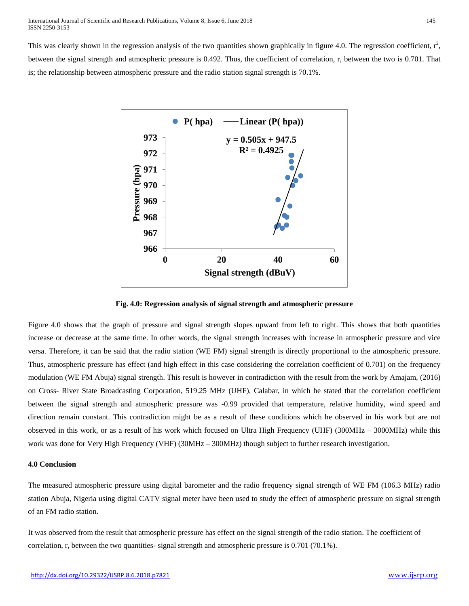This was clearly shown in the regression analysis of the two quantities shown graphically in figure 4.0. The regression coefficient,  $r^2$ , between the signal strength and atmospheric pressure is 0.492. Thus, the coefficient of correlation, r, between the two is 0.701. That is; the relationship between atmospheric pressure and the radio station signal strength is 70.1%.



**Fig. 4.0: Regression analysis of signal strength and atmospheric pressure**

Figure 4.0 shows that the graph of pressure and signal strength slopes upward from left to right. This shows that both quantities increase or decrease at the same time. In other words, the signal strength increases with increase in atmospheric pressure and vice versa. Therefore, it can be said that the radio station (WE FM) signal strength is directly proportional to the atmospheric pressure. Thus, atmospheric pressure has effect (and high effect in this case considering the correlation coefficient of 0.701) on the frequency modulation (WE FM Abuja) signal strength. This result is however in contradiction with the result from the work by Amajam, (2016) on Cross- River State Broadcasting Corporation, 519.25 MHz (UHF), Calabar, in which he stated that the correlation coefficient between the signal strength and atmospheric pressure was -0.99 provided that temperature, relative humidity, wind speed and direction remain constant. This contradiction might be as a result of these conditions which he observed in his work but are not observed in this work, or as a result of his work which focused on Ultra High Frequency (UHF) (300MHz – 3000MHz) while this work was done for Very High Frequency (VHF) (30MHz – 300MHz) though subject to further research investigation.

#### **4.0 Conclusion**

The measured atmospheric pressure using digital barometer and the radio frequency signal strength of WE FM (106.3 MHz) radio station Abuja, Nigeria using digital CATV signal meter have been used to study the effect of atmospheric pressure on signal strength of an FM radio station.

It was observed from the result that atmospheric pressure has effect on the signal strength of the radio station. The coefficient of correlation, r, between the two quantities- signal strength and atmospheric pressure is 0.701 (70.1%).